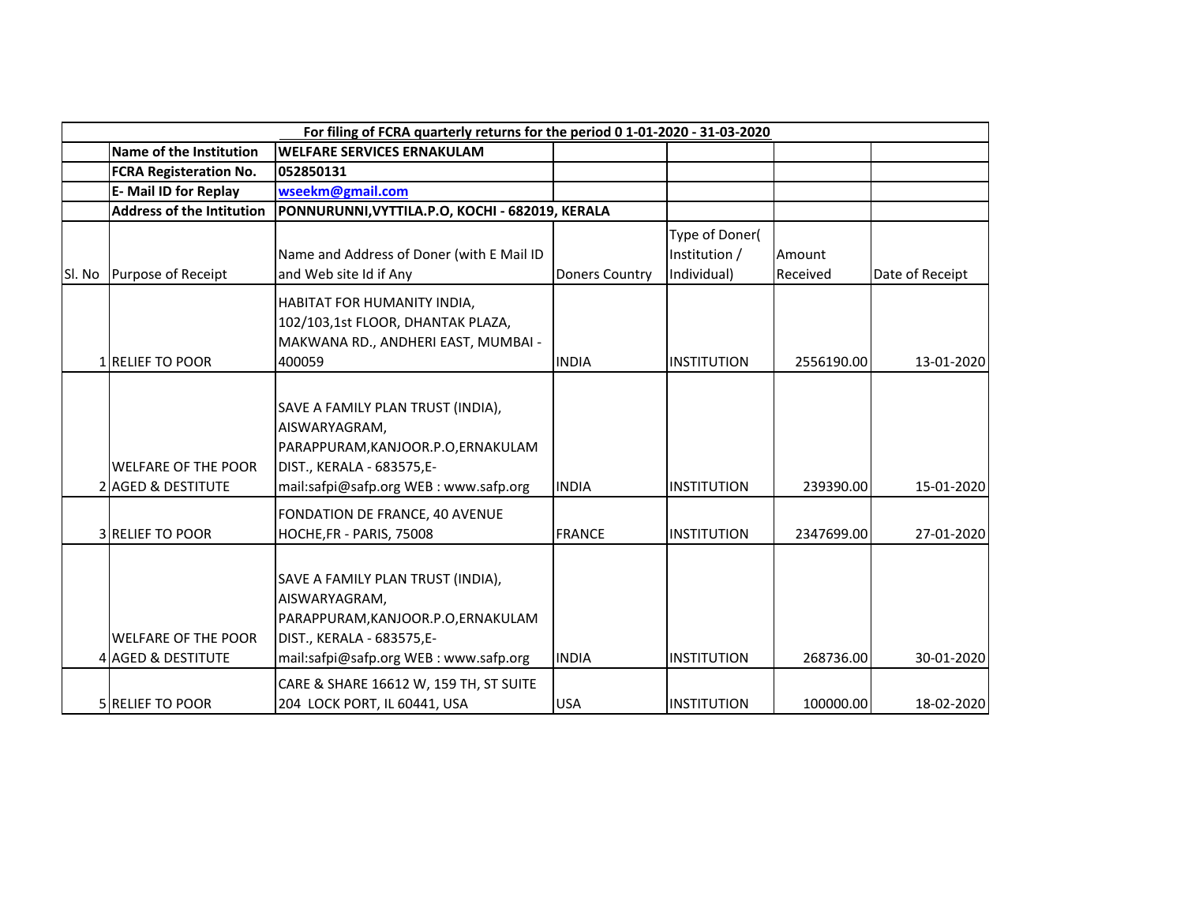|        |                                                  | For filing of FCRA quarterly returns for the period 0 1-01-2020 - 31-03-2020                                                                                    |                       |                                                |                    |                 |
|--------|--------------------------------------------------|-----------------------------------------------------------------------------------------------------------------------------------------------------------------|-----------------------|------------------------------------------------|--------------------|-----------------|
|        | Name of the Institution                          | <b>WELFARE SERVICES ERNAKULAM</b>                                                                                                                               |                       |                                                |                    |                 |
|        | <b>FCRA Registeration No.</b>                    | 052850131                                                                                                                                                       |                       |                                                |                    |                 |
|        | E- Mail ID for Replay                            | wseekm@gmail.com                                                                                                                                                |                       |                                                |                    |                 |
|        | <b>Address of the Intitution</b>                 | PONNURUNNI, VYTTILA.P.O, KOCHI - 682019, KERALA                                                                                                                 |                       |                                                |                    |                 |
| Sl. No | Purpose of Receipt                               | Name and Address of Doner (with E Mail ID<br>and Web site Id if Any                                                                                             | <b>Doners Country</b> | Type of Doner(<br>Institution /<br>Individual) | Amount<br>Received | Date of Receipt |
|        | 1 RELIEF TO POOR                                 | HABITAT FOR HUMANITY INDIA,<br>102/103,1st FLOOR, DHANTAK PLAZA,<br>MAKWANA RD., ANDHERI EAST, MUMBAI -<br>400059                                               | <b>INDIA</b>          | <b>INSTITUTION</b>                             | 2556190.00         | 13-01-2020      |
|        | <b>WELFARE OF THE POOR</b><br>2 AGED & DESTITUTE | SAVE A FAMILY PLAN TRUST (INDIA),<br>AISWARYAGRAM,<br>PARAPPURAM, KANJOOR.P.O, ERNAKULAM<br>DIST., KERALA - 683575,E-<br>mail:safpi@safp.org WEB: www.safp.org  | <b>INDIA</b>          | <b>INSTITUTION</b>                             | 239390.00          | 15-01-2020      |
|        | <b>3 RELIEF TO POOR</b>                          | FONDATION DE FRANCE, 40 AVENUE<br>HOCHE, FR - PARIS, 75008                                                                                                      | <b>FRANCE</b>         | <b>INSTITUTION</b>                             | 2347699.00         | 27-01-2020      |
|        | <b>WELFARE OF THE POOR</b><br>4 AGED & DESTITUTE | SAVE A FAMILY PLAN TRUST (INDIA),<br>AISWARYAGRAM,<br>PARAPPURAM, KANJOOR.P.O, ERNAKULAM<br>DIST., KERALA - 683575, E-<br>mail:safpi@safp.org WEB: www.safp.org | <b>INDIA</b>          | <b>INSTITUTION</b>                             | 268736.00          | 30-01-2020      |
|        | <b>SIRELIEF TO POOR</b>                          | CARE & SHARE 16612 W, 159 TH, ST SUITE<br>204 LOCK PORT, IL 60441, USA                                                                                          | <b>USA</b>            | INSTITUTION                                    | 100000.00          | 18-02-2020      |